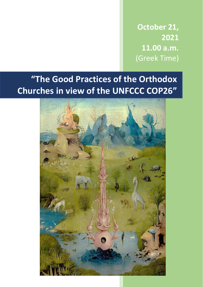**October 21, 2021 11.00 a.m.** (Greek Time)

# **"The Good Practices of the Orthodox Churches in view of the UNFCCC COP26"**

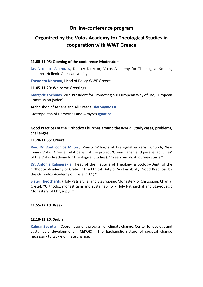### **On line-conference program**

## **Organized by the Volos Academy for Theological Studies in cooperation with WWF Greece**

#### **11.00-11.05: Opening of the conference-Moderators**

**Dr. Nikolaos Asproulis**, Deputy Director, Volos Academy for Theological Studies, Lecturer, Hellenic Open University

**Theodota Nantsou**, Head of Policy WWF Greece

#### **11.05-11.20: Welcome Greetings**

**Margaritis Schinas**, Vice-President for Promoting our European Way of Life, European Commission (video)

Archbishop of Athens and All Greece **Hieronymos II**

Metropolitan of Demetrias and Almyros **Ignatios**

#### **Good Practices of the Orthodox Churches around the World: Study cases, problems, challenges**

#### **11.20-11.55: Greece**

**Rev. Dr. Amfilochios Miltos**, (Priest-in-Charge at Evangelistria Parish Church, New Ionia - Volos, Greece, pilot parish of the project 'Green Parish and parallel activities' of the Volos Academy for Theological Studies): "Green parish: A journey starts."

**Dr. Antonis Kalogerakis**, (Head of the Institute of Theology & Ecology-Dept. of the Orthodox Academy of Crete): "The Ethical Duty of Sustainability: Good Practices by the Orthodox Academy of Crete (OAC)."

**Sister Theochariti**, (Holy Patriarchal and Stavropegic Monastery of Chrysopigi, Chania, Crete), "Orthodox monasticism and sustainability - Holy Patriarchal and Stavropegic Monastery of Chrysopigi."

#### **11.55-12.10: Break**

#### **12.10-12.20: Serbia**

**Kalmar Zvezdan**, (Coordinator of a program on climate change, Center for ecology and sustainable development - CEKOR): "The Eucharistic nature of societal change necessary to tackle Climate change."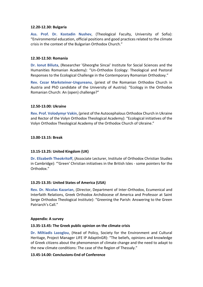#### **12.20-12.30: Bulgaria**

**Ass. Prof. Dr. Kostadin Nushev**, (Theological Faculty, University of Sofia): "Environmental education, official positions and good practices related to the climate crisis in the context of the Bulgarian Orthodox Church."

#### **12.30-12.50: Romania**

**Dr. Ionut Biliuta**, (Researcher 'Gheorghe Sincai' Institute for Social Sciences and the Humanities Romanian Academy): "Un-Orthodox Ecology: Theological and Pastoral Responses to the Ecological Challenge in the Contemporary Romanian Orthodoxy."

**Rev. Cezar Marksteiner-Ungureanu**, (priest of the Romanian Orthodox Church in Austria and PhD candidate of the University of Austria): "Ecology in the Orthodox Romanian Church: An (open) challenge?"

#### **12.50-13.00: Ukraine**

**Rev. Prof. Volodymyr Vakin**, (priest of the Autocephalous Orthodox Church in Ukraine and Rector of the Volyn Orthodox Theological Academy): "Ecological initiatives of the Volyn Orthodox Theological Academy of the Orthodox Church of Ukraine."

#### **13.00-13.15: Break**

#### **13.15-13.25: United Kingdom (UK)**

**Dr. Elizabeth Theokritoff**, (Associate Lecturer, Institute of Orthodox Christian Studies in Cambridge): "'Green' Christian initiatives in the British Isles - some pointers for the Orthodox."

#### **13.25-13.35: United States of America (USA)**

**Rev. Dr. Nicolas Kazarian**, (Director, Department of Inter-Orthodox, Ecumenical and Interfaith Relations, Greek Orthodox Archdiocese of America and Professor at Saint Serge Orthodox Theological Institute): "Greening the Parish: Answering to the Green Patriarch's Call."

#### **Appendix: A survey**

#### **13.35-13.45: The Greek public opinion on the climate crisis**

**Dr. Miltiadis Lazoglou**, (Head of Policy, Society for the Environment and Cultural Heritage, Project Manager LIFE IP AdaptInGR): "The beliefs, opinions and knowledge of Greek citizens about the phenomenon of climate change and the need to adapt to the new climate conditions: The case of the Region of Thessaly."

#### **13.45-14.00: Conclusions-End of Conference**